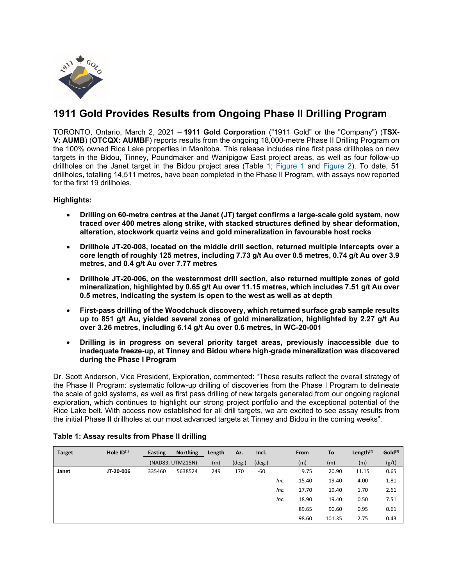

# **1911 Gold Provides Results from Ongoing Phase Il Drilling Program**

TORONTO, Ontario, March 2, 2021 – **1911 Gold Corporation** ("1911 Gold" or the "Company") (**TSX-V: AUMB**) (**OTCQX: AUMBF**) reports results from the ongoing 18,000-metre Phase II Drilling Program on the 100% owned Rice Lake properties in Manitoba. This release includes nine first pass drillholes on new targets in the Bidou, Tinney, Poundmaker and Wanipigow East project areas, as well as four follow-up drillholes on the Janet target in the Bidou project area (Table 1; [Figure](https://www.1911gold.com/_resources/news/1911-Gold-NR-Feb-2021-Figure-1.pdf) 1 and [Figure](https://www.1911gold.com/_resources/news/1911-Gold-NR-Feb-2021-Figure-2.pdf) 2). To date, 51 drillholes, totalling 14,511 metres, have been completed in the Phase II Program, with assays now reported for the first 19 drillholes.

# **Highlights:**

- **Drilling on 60-metre centres at the Janet (JT) target confirms a large-scale gold system, now traced over 400 metres along strike, with stacked structures defined by shear deformation, alteration, stockwork quartz veins and gold mineralization in favourable host rocks**
- **Drillhole JT-20-008, located on the middle drill section, returned multiple intercepts over a core length of roughly 125 metres, including 7.73 g/t Au over 0.5 metres, 0.74 g/t Au over 3.9 metres, and 0.4 g/t Au over 7.77 metres**
- **Drillhole JT-20-006, on the westernmost drill section, also returned multiple zones of gold mineralization, highlighted by 0.65 g/t Au over 11.15 metres, which includes 7.51 g/t Au over 0.5 metres, indicating the system is open to the west as well as at depth**
- **First-pass drilling of the Woodchuck discovery, which returned surface grab sample results up to 851 g/t Au, yielded several zones of gold mineralization, highlighted by 2.27 g/t Au over 3.26 metres, including 6.14 g/t Au over 0.6 metres, in WC-20-001**
- **Drilling is in progress on several priority target areas, previously inaccessible due to inadequate freeze-up, at Tinney and Bidou where high-grade mineralization was discovered during the Phase I Program**

Dr. Scott Anderson, Vice President, Exploration, commented: "These results reflect the overall strategy of the Phase II Program: systematic follow-up drilling of discoveries from the Phase I Program to delineate the scale of gold systems, as well as first pass drilling of new targets generated from our ongoing regional exploration, which continues to highlight our strong project portfolio and the exceptional potential of the Rice Lake belt. With access now established for all drill targets, we are excited to see assay results from the initial Phase II drillholes at our most advanced targets at Tinney and Bidou in the coming weeks".

| <b>Target</b> | Hole $ID^{(1)}$ | <b>Easting</b>   | <b>Northing</b> | Length | Az.             | Incl.           |      | From  | To     | Length $(2)$ | Gold <sup>(3)</sup> |
|---------------|-----------------|------------------|-----------------|--------|-----------------|-----------------|------|-------|--------|--------------|---------------------|
|               |                 | (NAD83, UTMZ15N) |                 | (m)    | $(\text{deg.})$ | $(\text{deg.})$ |      | (m)   | (m)    | (m)          | (g/t)               |
| Janet         | JT-20-006       | 335460           | 5638524         | 249    | 170             | $-60$           |      | 9.75  | 20.90  | 11.15        | 0.65                |
|               |                 |                  |                 |        |                 |                 | Inc. | 15.40 | 19.40  | 4.00         | 1.81                |
|               |                 |                  |                 |        |                 |                 | Inc. | 17.70 | 19.40  | 1.70         | 2.61                |
|               |                 |                  |                 |        |                 |                 | Inc. | 18.90 | 19.40  | 0.50         | 7.51                |
|               |                 |                  |                 |        |                 |                 |      | 89.65 | 90.60  | 0.95         | 0.61                |
|               |                 |                  |                 |        |                 |                 |      | 98.60 | 101.35 | 2.75         | 0.43                |

# **Table 1: Assay results from Phase II drilling**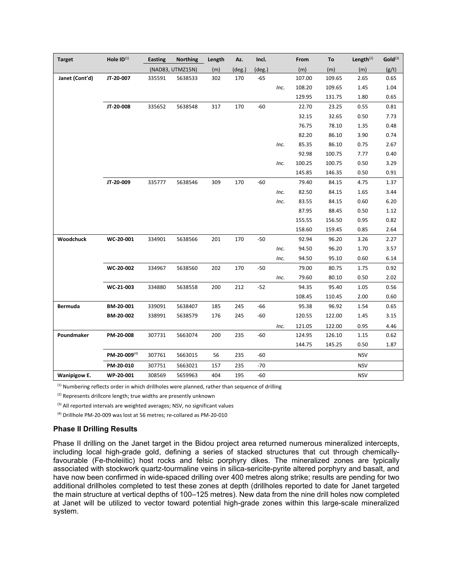| <b>Target</b>  | Hole $ID^{(1)}$ | <b>Easting</b> | <b>Northing</b>  | Length | Az.    | Incl.           |      | From   | To     | Length $^{(2)}$ | Gold <sup>(3)</sup> |
|----------------|-----------------|----------------|------------------|--------|--------|-----------------|------|--------|--------|-----------------|---------------------|
|                |                 |                | (NAD83, UTMZ15N) | (m)    | (deg.) | $(\text{deg.})$ |      | (m)    | (m)    | (m)             | (g/t)               |
| Janet (Cont'd) | JT-20-007       | 335591         | 5638533          | 302    | 170    | $-65$           |      | 107.00 | 109.65 | 2.65            | 0.65                |
|                |                 |                |                  |        |        |                 | Inc. | 108.20 | 109.65 | 1.45            | 1.04                |
|                |                 |                |                  |        |        |                 |      | 129.95 | 131.75 | 1.80            | 0.65                |
|                | JT-20-008       | 335652         | 5638548          | 317    | 170    | $-60$           |      | 22.70  | 23.25  | 0.55            | 0.81                |
|                |                 |                |                  |        |        |                 |      | 32.15  | 32.65  | 0.50            | 7.73                |
|                |                 |                |                  |        |        |                 |      | 76.75  | 78.10  | 1.35            | 0.48                |
|                |                 |                |                  |        |        |                 |      | 82.20  | 86.10  | 3.90            | 0.74                |
|                |                 |                |                  |        |        |                 | Inc. | 85.35  | 86.10  | 0.75            | 2.67                |
|                |                 |                |                  |        |        |                 |      | 92.98  | 100.75 | 7.77            | 0.40                |
|                |                 |                |                  |        |        |                 | Inc. | 100.25 | 100.75 | 0.50            | 3.29                |
|                |                 |                |                  |        |        |                 |      | 145.85 | 146.35 | 0.50            | 0.91                |
|                | JT-20-009       | 335777         | 5638546          | 309    | 170    | $-60$           |      | 79.40  | 84.15  | 4.75            | 1.37                |
|                |                 |                |                  |        |        |                 | Inc. | 82.50  | 84.15  | 1.65            | 3.44                |
|                |                 |                |                  |        |        |                 | Inc. | 83.55  | 84.15  | 0.60            | 6.20                |
|                |                 |                |                  |        |        |                 |      | 87.95  | 88.45  | 0.50            | 1.12                |
|                |                 |                |                  |        |        |                 |      | 155.55 | 156.50 | 0.95            | 0.82                |
|                |                 |                |                  |        |        |                 |      | 158.60 | 159.45 | 0.85            | 2.64                |
| Woodchuck      | WC-20-001       | 334901         | 5638566          | 201    | 170    | $-50$           |      | 92.94  | 96.20  | 3.26            | 2.27                |
|                |                 |                |                  |        |        |                 | Inc. | 94.50  | 96.20  | 1.70            | 3.57                |
|                |                 |                |                  |        |        |                 | Inc. | 94.50  | 95.10  | 0.60            | 6.14                |
|                | WC-20-002       | 334967         | 5638560          | 202    | 170    | $-50$           |      | 79.00  | 80.75  | 1.75            | 0.92                |
|                |                 |                |                  |        |        |                 | Inc. | 79.60  | 80.10  | 0.50            | 2.02                |
|                | WC-21-003       | 334880         | 5638558          | 200    | 212    | $-52$           |      | 94.35  | 95.40  | 1.05            | 0.56                |
|                |                 |                |                  |        |        |                 |      | 108.45 | 110.45 | 2.00            | 0.60                |
| <b>Bermuda</b> | BM-20-001       | 339091         | 5638407          | 185    | 245    | $-66$           |      | 95.38  | 96.92  | 1.54            | 0.65                |
|                | BM-20-002       | 338991         | 5638579          | 176    | 245    | $-60$           |      | 120.55 | 122.00 | 1.45            | 3.15                |
|                |                 |                |                  |        |        |                 | Inc. | 121.05 | 122.00 | 0.95            | 4.46                |
| Poundmaker     | PM-20-008       | 307731         | 5663074          | 200    | 235    | $-60$           |      | 124.95 | 126.10 | 1.15            | 0.62                |
|                |                 |                |                  |        |        |                 |      | 144.75 | 145.25 | 0.50            | 1.87                |
|                | PM-20-009(4)    | 307761         | 5663015          | 56     | 235    | $-60$           |      |        |        | <b>NSV</b>      |                     |
|                | PM-20-010       | 307751         | 5663021          | 157    | 235    | $-70$           |      |        |        | <b>NSV</b>      |                     |
| Wanipigow E.   | WP-20-001       | 308569         | 5659963          | 404    | 195    | $-60$           |      |        |        | <b>NSV</b>      |                     |

 $<sup>(1)</sup>$  Numbering reflects order in which drillholes were planned, rather than sequence of drilling</sup>

(2) Represents drillcore length; true widths are presently unknown

(3) All reported intervals are weighted averages; NSV, no significant values

(4) Drillhole PM-20-009 was lost at 56 metres; re-collared as PM-20-010

# **Phase II Drilling Results**

Phase II drilling on the Janet target in the Bidou project area returned numerous mineralized intercepts, including local high-grade gold, defining a series of stacked structures that cut through chemicallyfavourable (Fe-tholeiitic) host rocks and felsic porphyry dikes. The mineralized zones are typically associated with stockwork quartz-tourmaline veins in silica-sericite-pyrite altered porphyry and basalt, and have now been confirmed in wide-spaced drilling over 400 metres along strike; results are pending for two additional drillholes completed to test these zones at depth (drillholes reported to date for Janet targeted the main structure at vertical depths of 100–125 metres). New data from the nine drill holes now completed at Janet will be utilized to vector toward potential high-grade zones within this large-scale mineralized system.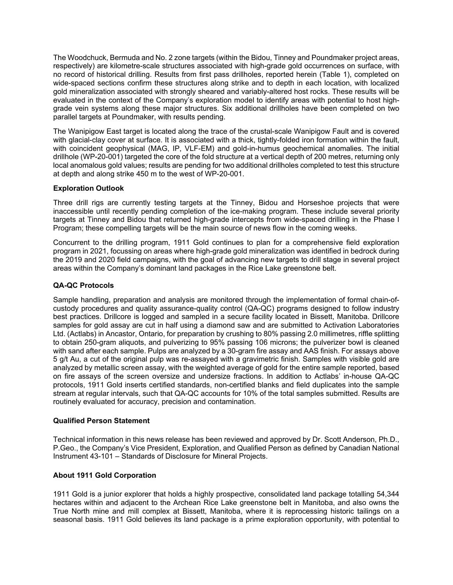The Woodchuck, Bermuda and No. 2 zone targets (within the Bidou, Tinney and Poundmaker project areas, respectively) are kilometre-scale structures associated with high-grade gold occurrences on surface, with no record of historical drilling. Results from first pass drillholes, reported herein (Table 1), completed on wide-spaced sections confirm these structures along strike and to depth in each location, with localized gold mineralization associated with strongly sheared and variably-altered host rocks. These results will be evaluated in the context of the Company's exploration model to identify areas with potential to host highgrade vein systems along these major structures. Six additional drillholes have been completed on two parallel targets at Poundmaker, with results pending.

The Wanipigow East target is located along the trace of the crustal-scale Wanipigow Fault and is covered with glacial-clay cover at surface. It is associated with a thick, tightly-folded iron formation within the fault, with coincident geophysical (MAG, IP, VLF-EM) and gold-in-humus geochemical anomalies. The initial drillhole (WP-20-001) targeted the core of the fold structure at a vertical depth of 200 metres, returning only local anomalous gold values; results are pending for two additional drillholes completed to test this structure at depth and along strike 450 m to the west of WP-20-001.

# **Exploration Outlook**

Three drill rigs are currently testing targets at the Tinney, Bidou and Horseshoe projects that were inaccessible until recently pending completion of the ice-making program. These include several priority targets at Tinney and Bidou that returned high-grade intercepts from wide-spaced drilling in the Phase I Program; these compelling targets will be the main source of news flow in the coming weeks.

Concurrent to the drilling program, 1911 Gold continues to plan for a comprehensive field exploration program in 2021, focussing on areas where high-grade gold mineralization was identified in bedrock during the 2019 and 2020 field campaigns, with the goal of advancing new targets to drill stage in several project areas within the Company's dominant land packages in the Rice Lake greenstone belt.

## **QA-QC Protocols**

Sample handling, preparation and analysis are monitored through the implementation of formal chain-ofcustody procedures and quality assurance-quality control (QA-QC) programs designed to follow industry best practices. Drillcore is logged and sampled in a secure facility located in Bissett, Manitoba. Drillcore samples for gold assay are cut in half using a diamond saw and are submitted to Activation Laboratories Ltd. (Actlabs) in Ancastor, Ontario, for preparation by crushing to 80% passing 2.0 millimetres, riffle splitting to obtain 250-gram aliquots, and pulverizing to 95% passing 106 microns; the pulverizer bowl is cleaned with sand after each sample. Pulps are analyzed by a 30-gram fire assay and AAS finish. For assays above 5 g/t Au, a cut of the original pulp was re-assayed with a gravimetric finish. Samples with visible gold are analyzed by metallic screen assay, with the weighted average of gold for the entire sample reported, based on fire assays of the screen oversize and undersize fractions. In addition to Actlabs' in-house QA-QC protocols, 1911 Gold inserts certified standards, non-certified blanks and field duplicates into the sample stream at regular intervals, such that QA-QC accounts for 10% of the total samples submitted. Results are routinely evaluated for accuracy, precision and contamination.

### **Qualified Person Statement**

Technical information in this news release has been reviewed and approved by Dr. Scott Anderson, Ph.D., P.Geo., the Company's Vice President, Exploration, and Qualified Person as defined by Canadian National Instrument 43-101 – Standards of Disclosure for Mineral Projects.

# **About 1911 Gold Corporation**

1911 Gold is a junior explorer that holds a highly prospective, consolidated land package totalling 54,344 hectares within and adjacent to the Archean Rice Lake greenstone belt in Manitoba, and also owns the True North mine and mill complex at Bissett, Manitoba, where it is reprocessing historic tailings on a seasonal basis. 1911 Gold believes its land package is a prime exploration opportunity, with potential to